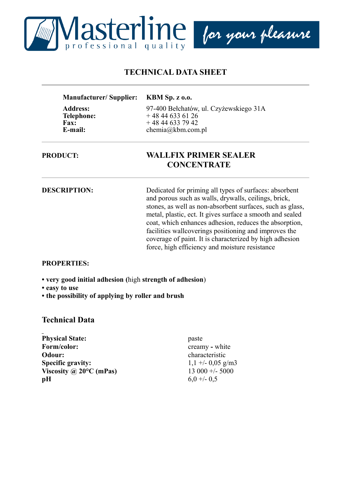

# **TECHNICAL DATA SHEET**

| <b>Manufacturer/Supplier:</b>                       | <b>KBM Sp. z o.o.</b>                                                      |
|-----------------------------------------------------|----------------------------------------------------------------------------|
| <b>Address:</b><br><b>Telephone:</b><br><b>Fax:</b> | 97-400 Bełchatów, ul. Czyżewskiego 31A<br>$+48446336126$<br>$+48446337942$ |
| E-mail:                                             | chemia@kbm.com.pl                                                          |

### **PRODUCT: WALLFIX PRIMER SEALER CONCENTRATE**

**DESCRIPTION:** Dedicated for priming all types of surfaces: absorbent and porous such as walls, drywalls, ceilings, brick, stones, as well as non-absorbent surfaces, such as glass, metal, plastic, ect. It gives surface a smooth and sealed coat, which enhances adhesion, reduces the absorption, facilities wallcoverings positioning and improves the coverage of paint. It is characterized by high adhesion force, high efficiency and moisture resistance

#### **PROPERTIES:**

**• very good initial adhesion (**high **strength of adhesion**)

**• easy to use**

**• the possibility of applying by roller and brush**

### **Technical Data**

**Physical State:** paste **Form/color:** creamy - white **Odour:** characteristic **Specific gravity:** 1,1 +/- 0,05 g/m3 **Viscosity @ 20°C (mPas)** 13 000 +/- 5000 **pH** 6,0 +/- 0,5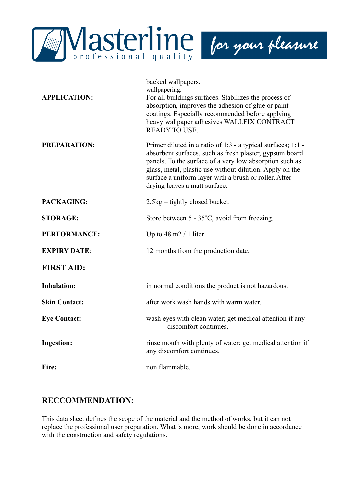

| <b>APPLICATION:</b>  | backed wallpapers.<br>wallpapering.<br>For all buildings surfaces. Stabilizes the process of<br>absorption, improves the adhesion of glue or paint<br>coatings. Especially recommended before applying<br>heavy wallpaper adhesives WALLFIX CONTRACT<br><b>READY TO USE.</b>                                                                 |
|----------------------|----------------------------------------------------------------------------------------------------------------------------------------------------------------------------------------------------------------------------------------------------------------------------------------------------------------------------------------------|
| <b>PREPARATION:</b>  | Primer diluted in a ratio of $1:3$ - a typical surfaces; $1:1$ -<br>absorbent surfaces, such as fresh plaster, gypsum board<br>panels. To the surface of a very low absorption such as<br>glass, metal, plastic use without dilution. Apply on the<br>surface a uniform layer with a brush or roller. After<br>drying leaves a matt surface. |
| PACKAGING:           | $2,5kg -$ tightly closed bucket.                                                                                                                                                                                                                                                                                                             |
| <b>STORAGE:</b>      | Store between 5 - 35°C, avoid from freezing.                                                                                                                                                                                                                                                                                                 |
| <b>PERFORMANCE:</b>  | Up to $48 \text{ m}2 / 1$ liter                                                                                                                                                                                                                                                                                                              |
| <b>EXPIRY DATE:</b>  | 12 months from the production date.                                                                                                                                                                                                                                                                                                          |
| <b>FIRST AID:</b>    |                                                                                                                                                                                                                                                                                                                                              |
| <b>Inhalation:</b>   | in normal conditions the product is not hazardous.                                                                                                                                                                                                                                                                                           |
| <b>Skin Contact:</b> | after work wash hands with warm water.                                                                                                                                                                                                                                                                                                       |
| <b>Eye Contact:</b>  | wash eyes with clean water; get medical attention if any<br>discomfort continues.                                                                                                                                                                                                                                                            |
| <b>Ingestion:</b>    | rinse mouth with plenty of water; get medical attention if<br>any discomfort continues.                                                                                                                                                                                                                                                      |
| Fire:                | non flammable.                                                                                                                                                                                                                                                                                                                               |

## **RECCOMMENDATION:**

This data sheet defines the scope of the material and the method of works, but it can not replace the professional user preparation. What is more, work should be done in accordance with the construction and safety regulations.